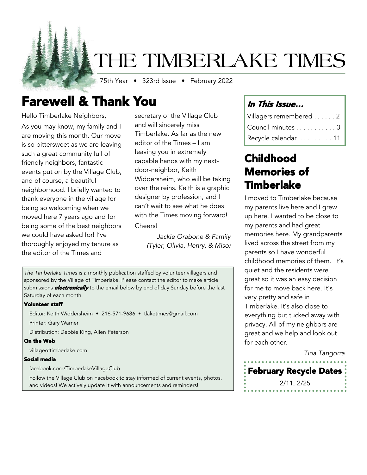# THE TIMBERLAKE TIMES

75th Year • 323rd Issue • February 2022

## Farewell & Thank You

Hello Timberlake Neighbors, As you may know, my family and I are moving this month. Our move is so bittersweet as we are leaving such a great community full of friendly neighbors, fantastic events put on by the Village Club, and of course, a beautiful neighborhood. I briefly wanted to thank everyone in the village for being so welcoming when we moved here 7 years ago and for being some of the best neighbors we could have asked for! I've thoroughly enjoyed my tenure as the editor of the Times and

secretary of the Village Club and will sincerely miss Timberlake. As far as the new editor of the Times – I am leaving you in extremely capable hands with my nextdoor-neighbor, Keith Widdersheim, who will be taking over the reins. Keith is a graphic designer by profession, and I can't wait to see what he does with the Times moving forward! Cheers!

> *Jackie Orabone & Family (Tyler, Olivia, Henry, & Miso)*

*The Timberlake Times* is a monthly publication staffed by volunteer villagers and sponsored by the Village of Timberlake. Please contact the editor to make article submissions **electronically** to the email below by end of day Sunday before the last Saturday of each month.

#### Volunteer staff

Editor: Keith Widdersheim • 216-571-9686 • tlaketimes@gmail.com

Printer: Gary Warner

Distribution: Debbie King, Allen Peterson

#### On the Web

villageoftimberlake.com

#### Social media

facebook.com/TimberlakeVillageClub

Follow the Village Club on Facebook to stay informed of current events, photos, and videos! We actively update it with announcements and reminders!

## In This Issue…

| Villagers remembered 2 |
|------------------------|
| Council minutes 3      |
| Recycle calendar  11   |

## Childhood Memories of Timberlake

I moved to Timberlake because my parents live here and I grew up here. I wanted to be close to my parents and had great memories here. My grandparents lived across the street from my parents so I have wonderful childhood memories of them. It's quiet and the residents were great so it was an easy decision for me to move back here. It's very pretty and safe in Timberlake. It's also close to everything but tucked away with privacy. All of my neighbors are great and we help and look out for each other.

*Tina Tangorra*

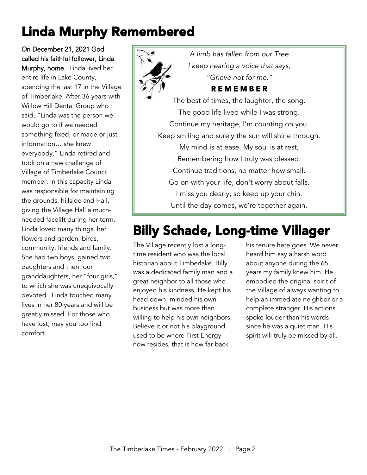# Linda Murphy Remembered

On December 21, 2021 God called his faithful follower, Linda Murphy, home. Linda lived her entire life in Lake County, spending the last 17 in the Village of Timberlake. After 36 years with Willow Hill Dental Group who said, "Linda was the person we would go to if we needed something fixed, or made or just information… she knew everybody." Linda retired and took on a new challenge of Village of Timberlake Council member. In this capacity Linda was responsible for maintaining the grounds, hillside and Hall, giving the Village Hall a muchneeded facelift during her term. Linda loved many things, her flowers and garden, birds, community, friends and family. She had two boys, gained two daughters and then four granddaughters, her "four girls," to which she was unequivocally devoted. Linda touched many lives in her 80 years and will be greatly missed. For those who have lost, may you too find comfort.



*A limb has fallen from our Tree I keep hearing a voice that says, "Grieve not for me."*

### R E M E M B E R

The best of times, the laughter, the song. The good life lived while I was strong. Continue my heritage, I'm counting on you. Keep smiling and surely the sun will shine through. My mind is at ease. My soul is at rest, Remembering how I truly was blessed. Continue traditions, no matter how small. Go on with your life, don't worry about falls. I miss you dearly, so keep up your chin. Until the day comes, we're together again.

# Billy Schade, Long-time Villager

The Village recently lost a longtime resident who was the local historian about Timberlake. Billy was a dedicated family man and a great neighbor to all those who enjoyed his kindness. He kept his head down, minded his own business but was more than willing to help his own neighbors. Believe it or not his playground used to be where First Energy now resides, that is how far back

his tenure here goes. We never heard him say a harsh word about anyone during the 65 years my family knew him. He embodied the original spirit of the Village of always wanting to help an immediate neighbor or a complete stranger. His actions spoke louder than his words since he was a quiet man. His spirit will truly be missed by all.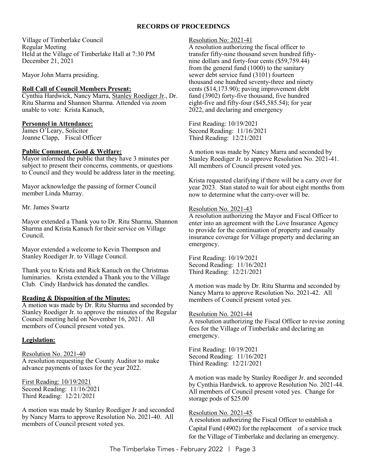#### **RECORDS OF PROCEEDINGS**

Village of Timberlake Council Regular Meeting Held at the Village of Timberlake Hall at 7:30 PM December 21, 2021

Mayor John Marra presiding.

#### **Roll Call of Council Members Present:**

Cynthia Hardwick, Nancy Marra, Stanley Roediger Jr., Dr. Ritu Sharma and Shannon Sharma. Attended via zoom unable to vote: Krista Kanuch,

#### **Personnel in Attendance:**

James O'Leary, Solicitor Joanne Clapp, Fiscal Officer

#### **Public Comment, Good & Welfare:**

Mayor informed the public that they have 3 minutes per subject to present their concerns, comments, or questions to Council and they would be address later in the meeting.

Mayor acknowledge the passing of former Council member Linda Murray.

Mr. James Swartz

Mayor extended a Thank you to Dr. Ritu Sharma, Shannon Sharma and Krista Kanuch for their service on Village Council.

Mayor extended a welcome to Kevin Thompson and Stanley Roediger Jr. to Village Council.

Thank you to Krista and Rick Kanuch on the Christmas luminaries. Krista extended a Thank you to the Village Club. Cindy Hardwick has donated the candles.

#### **Reading & Disposition of the Minutes:**

A motion was made by Dr. Ritu Sharma and seconded by Stanley Roediger Jr. to approve the minutes of the Regular Council meeting held on November 16, 2021. All members of Council present voted yes.

#### **Legislation:**

Resolution No. 2021-40 A resolution requesting the County Auditor to make advance payments of taxes for the year 2022.

First Reading: 10/19/2021 Second Reading: 11/16/2021 Third Reading: 12/21/2021

A motion was made by Stanley Roediger Jr and seconded by Nancy Marra to approve Resolution No. 2021-40. All members of Council present voted yes.

#### Resolution No: 2021-41

A resolution authorizing the fiscal officer to transfer fifty-nine thousand seven hundred fiftynine dollars and forty-four cents (\$59,759.44) from the general fund (1000) to the sanitary sewer debt service fund (3101) fourteen thousand one hundred seventy-three and ninety cents (\$14,173.90); paving improvement debt fund (3902) forty-five thousand, five hundred eight-five and fifty-four (\$45,585.54); for year 2022, and declaring and emergency

First Reading: 10/19/2021 Second Reading: 11/16/2021 Third Reading: 12/21/2021

A motion was made by Nancy Marra and seconded by Stanley Roediger Jr. to approve Resolution No. 2021-41. All members of Council present voted yes.

Krista requested clarifying if there will be a carry over for year 2023. Stan stated to wait for about eight months from now to determine what the carry-over will be.

#### Resolution No. 2021-43

A resolution authorizing the Mayor and Fiscal Officer to enter into an agreement with the Love Insurance Agency to provide for the continuation of property and casualty insurance coverage for Village property and declaring an emergency.

First Reading: 10/19/2021 Second Reading: 11/16/2021 Third Reading: 12/21/2021

A motion was made by Dr. Ritu Sharma and seconded by Nancy Marra to approve Resolution No. 2021-42. All members of Council present voted yes.

#### Resolution No. 2021-44

A resolution authorizing the Fiscal Officer to revise zoning fees for the Village of Timberlake and declaring an emergency.

First Reading: 10/19/2021 Second Reading: 11/16/2021 Third Reading: 12/21/2021

A motion was made by Stanley Roediger Jr. and seconded by Cynthia Hardwick. to approve Resolution No. 2021-44. All members of Council present voted yes. Change for storage pods of \$25.00

#### Resolution No. 2021-45

A resolution authorizing the Fiscal Officer to establish a Capital Fund (4902) for the replacement of a service truck for the Village of Timberlake and declaring an emergency.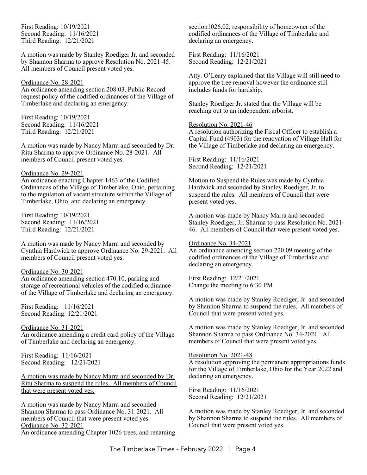First Reading: 10/19/2021 Second Reading: 11/16/2021 Third Reading: 12/21/2021

A motion was made by Stanley Roediger Jr. and seconded by Shannon Sharma to approve Resolution No. 2021-45. All members of Council present voted yes.

#### Ordinance No. 28-2021

An ordinance amending section 208.03, Public Record request policy of the codified ordinances of the Village of Timberlake and declaring an emergency.

First Reading: 10/19/2021 Second Reading: 11/16/2021 Third Reading: 12/21/2021

A motion was made by Nancy Marra and seconded by Dr. Ritu Sharma to approve Ordinance No. 28-2021. All members of Council present voted yes.

#### Ordinance No. 29-2021

An ordinance enacting Chapter 1463 of the Codified Ordinances of the Village of Timberlake, Ohio, pertaining to the regulation of vacant structure within the Village of Timberlake, Ohio, and declaring an emergency.

First Reading: 10/19/2021 Second Reading: 11/16/2021 Third Reading: 12/21/2021

A motion was made by Nancy Marra and seconded by Cynthia Hardwick to approve Ordinance No. 29-2021. All members of Council present voted yes.

#### Ordinance No. 30-2021

An ordinance amending section 470.10, parking and storage of recreational vehicles of the codified ordinance of the Village of Timberlake and declaring an emergency.

First Reading: 11/16/2021 Second Reading: 12/21/2021

Ordinance No. 31-2021 An ordinance amending a credit card policy of the Village of Timberlake and declaring an emergency.

First Reading: 11/16/2021 Second Reading: 12/21/2021

A motion was made by Nancy Marra and seconded by Dr. Ritu Sharma to suspend the rules. All members of Council that were present voted yes.

A motion was made by Nancy Marra and seconded Shannon Sharma to pass Ordinance No. 31-2021. All members of Council that were present voted yes. Ordinance No. 32-2021

An ordinance amending Chapter 1026 trees, and renaming

section1026.02, responsibility of homeowner of the codified ordinances of the Village of Timberlake and declaring an emergency.

First Reading: 11/16/2021 Second Reading: 12/21/2021

Atty. O'Leary explained that the Village will still need to approve the tree removal however the ordinance still includes funds for hardship.

Stanley Roediger Jr. stated that the Village will be reaching out to an independent arborist.

#### Resolution No. 2021-46

A resolution authorizing the Fiscal Officer to establish a Capital Fund (4903) for the renovation of Village Hall for the Village of Timberlake and declaring an emergency.

First Reading: 11/16/2021 Second Reading: 12/21/2021

Motion to Suspend the Rules was made by Cynthia Hardwick and seconded by Stanley Roediger, Jr. to suspend the rules. All members of Council that were present voted yes.

A motion was made by Nancy Marra and seconded Stanley Roediger, Jr. Sharma to pass Resolution No. 2021- 46. All members of Council that were present voted yes.

#### Ordinance No. 34-2021

An ordinance amending section 220.09 meeting of the codified ordinances of the Village of Timberlake and declaring an emergency.

First Reading: 12/21/2021 Change the meeting to 6:30 PM

A motion was made by Stanley Roediger, Jr. and seconded by Shannon Sharma to suspend the rules. All members of Council that were present voted yes.

A motion was made by Stanley Roediger, Jr. and seconded Shannon Sharma to pass Ordinance No. 34-2021. All members of Council that were present voted yes.

#### Resolution No. 2021-48

A resolution approving the permanent appropriations funds for the Village of Timberlake, Ohio for the Year 2022 and declaring an emergency.

First Reading: 11/16/2021 Second Reading: 12/21/2021

A motion was made by Stanley Roediger, Jr. and seconded by Shannon Sharma to suspend the rules. All members of Council that were present voted yes.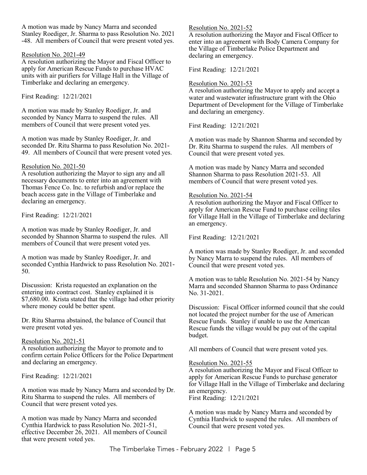A motion was made by Nancy Marra and seconded Stanley Roediger, Jr. Sharma to pass Resolution No. 2021 -48. All members of Council that were present voted yes.

#### Resolution No. 2021-49

A resolution authorizing the Mayor and Fiscal Officer to apply for American Rescue Funds to purchase HVAC units with air purifiers for Village Hall in the Village of Timberlake and declaring an emergency.

First Reading: 12/21/2021

A motion was made by Stanley Roediger, Jr. and seconded by Nancy Marra to suspend the rules. All members of Council that were present voted yes.

A motion was made by Stanley Roediger, Jr. and seconded Dr. Ritu Sharma to pass Resolution No. 2021- 49. All members of Council that were present voted yes.

#### Resolution No. 2021-50

A resolution authorizing the Mayor to sign any and all necessary documents to enter into an agreement with Thomas Fence Co. Inc. to refurbish and/or replace the beach access gate in the Village of Timberlake and declaring an emergency.

First Reading: 12/21/2021

A motion was made by Stanley Roediger, Jr. and seconded by Shannon Sharma to suspend the rules. All members of Council that were present voted yes.

A motion was made by Stanley Roediger, Jr. and seconded Cynthia Hardwick to pass Resolution No. 2021- 50.

Discussion: Krista requested an explanation on the entering into contract cost. Stanley explained it is \$7,680.00. Krista stated that the village had other priority where money could be better spent.

Dr. Ritu Sharma abstained, the balance of Council that were present voted yes.

#### Resolution No. 2021-51

A resolution authorizing the Mayor to promote and to confirm certain Police Officers for the Police Department and declaring an emergency.

First Reading: 12/21/2021

A motion was made by Nancy Marra and seconded by Dr. Ritu Sharma to suspend the rules. All members of Council that were present voted yes.

A motion was made by Nancy Marra and seconded Cynthia Hardwick to pass Resolution No. 2021-51, effective December 26, 2021. All members of Council that were present voted yes.

Resolution No. 2021-52

A resolution authorizing the Mayor and Fiscal Officer to enter into an agreement with Body Camera Company for the Village of Timberlake Police Department and declaring an emergency.

First Reading: 12/21/2021

#### Resolution No. 2021-53

A resolution authorizing the Mayor to apply and accept a water and wastewater infrastructure grant with the Ohio Department of Development for the Village of Timberlake and declaring an emergency.

First Reading: 12/21/2021

A motion was made by Shannon Sharma and seconded by Dr. Ritu Sharma to suspend the rules. All members of Council that were present voted yes.

A motion was made by Nancy Marra and seconded Shannon Sharma to pass Resolution 2021-53. All members of Council that were present voted yes.

#### Resolution No. 2021-54

A resolution authorizing the Mayor and Fiscal Officer to apply for American Rescue Fund to purchase ceiling tiles for Village Hall in the Village of Timberlake and declaring an emergency.

First Reading: 12/21/2021

A motion was made by Stanley Roediger, Jr. and seconded by Nancy Marra to suspend the rules. All members of Council that were present voted yes.

A motion was to table Resolution No. 2021-54 by Nancy Marra and seconded Shannon Sharma to pass Ordinance No. 31-2021.

Discussion: Fiscal Officer informed council that she could not located the project number for the use of American Rescue Funds. Stanley if unable to use the American Rescue funds the village would be pay out of the capital budget.

All members of Council that were present voted yes.

#### Resolution No. 2021-55

A resolution authorizing the Mayor and Fiscal Officer to apply for American Rescue Funds to purchase generator for Village Hall in the Village of Timberlake and declaring an emergency.

First Reading: 12/21/2021

A motion was made by Nancy Marra and seconded by Cynthia Hardwick to suspend the rules. All members of Council that were present voted yes.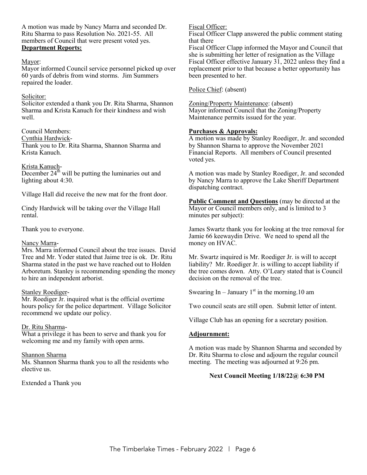A motion was made by Nancy Marra and seconded Dr. Ritu Sharma to pass Resolution No. 2021-55. All members of Council that were present voted yes. **Department Reports:** 

#### Mayor:

Mayor informed Council service personnel picked up over 60 yards of debris from wind storms. Jim Summers repaired the loader.

#### Solicitor:

Solicitor extended a thank you Dr. Rita Sharma, Shannon Sharma and Krista Kanuch for their kindness and wish well.

#### Council Members:

Cynthia Hardwick-Thank you to Dr. Rita Sharma, Shannon Sharma and Krista Kanuch.

#### Krista Kanuch-

December  $24<sup>th</sup>$  will be putting the luminaries out and lighting about 4:30.

Village Hall did receive the new mat for the front door.

Cindy Hardwick will be taking over the Village Hall rental.

Thank you to everyone.

#### Nancy Marra-

Mrs. Marra informed Council about the tree issues. David Tree and Mr. Yoder stated that Jaime tree is ok. Dr. Ritu Sharma stated in the past we have reached out to Holden Arboretum. Stanley is recommending spending the money to hire an independent arborist.

#### Stanley Roediger-

Mr. Roediger Jr. inquired what is the official overtime hours policy for the police department. Village Solicitor recommend we update our policy.

#### Dr. Ritu Sharma-

What a privilege it has been to serve and thank you for welcoming me and my family with open arms.

#### Shannon Sharma

Ms. Shannon Sharma thank you to all the residents who elective us.

#### Extended a Thank you

Fiscal Officer:

Fiscal Officer Clapp answered the public comment stating that there

Fiscal Officer Clapp informed the Mayor and Council that she is submitting her letter of resignation as the Village Fiscal Officer effective January 31, 2022 unless they find a replacement prior to that because a better opportunity has been presented to her.

Police Chief: (absent)

Zoning/Property Maintenance: (absent) Mayor informed Council that the Zoning/Property Maintenance permits issued for the year.

#### **Purchases & Approvals:**

A motion was made by Stanley Roediger, Jr. and seconded by Shannon Sharna to approve the November 2021 Financial Reports. All members of Council presented voted yes.

A motion was made by Stanley Roediger, Jr. and seconded by Nancy Marra to approve the Lake Sheriff Department dispatching contract.

**Public Comment and Questions** (may be directed at the Mayor or Council members only, and is limited to 3 minutes per subject):

James Swartz thank you for looking at the tree removal for Jamie 66 keewaydin Drive. We need to spend all the money on HVAC.

Mr. Swartz inquired is Mr. Roediger Jr. is will to accept liability? Mr. Roediger Jr. is willing to accept liability if the tree comes down. Atty. O'Leary stated that is Council decision on the removal of the tree.

Swearing In – January  $1<sup>st</sup>$  in the morning.10 am

Two council seats are still open. Submit letter of intent.

Village Club has an opening for a secretary position.

#### **Adjournment:**

A motion was made by Shannon Sharma and seconded by Dr. Ritu Sharma to close and adjourn the regular council meeting. The meeting was adjourned at 9:26 pm.

#### **Next Council Meeting 1/18/22@ 6:30 PM**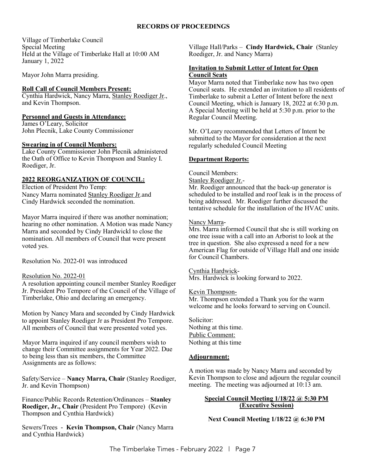#### **RECORDS OF PROCEEDINGS**

Village of Timberlake Council Special Meeting Held at the Village of Timberlake Hall at 10:00 AM January 1, 2022

Mayor John Marra presiding.

#### **Roll Call of Council Members Present:**

Cynthia Hardwick, Nancy Marra, Stanley Roediger Jr., and Kevin Thompson.

#### **Personnel and Guests in Attendance:**

James O'Leary, Solicitor John Plecnik, Lake County Commissioner

#### **Swearing in of Council Members:**

Lake County Commissioner John Plecnik administered the Oath of Office to Kevin Thompson and Stanley I. Roediger, Jr.

#### **2022 REORGANIZATION OF COUNCIL:**

Election of President Pro Temp: Nancy Marra nominated Stanley Roediger Jr.and Cindy Hardwick seconded the nomination.

Mayor Marra inquired if there was another nomination; hearing no other nomination. A Motion was made Nancy Marra and seconded by Cindy Hardwickl to close the nomination. All members of Council that were present voted yes.

Resolution No. 2022-01 was introduced

#### Resolution No. 2022-01

A resolution appointing council member Stanley Roediger Jr. President Pro Tempore of the Council of the Village of Timberlake, Ohio and declaring an emergency.

Motion by Nancy Mara and seconded by Cindy Hardwick to appoint Stanley Roediger Jr as President Pro Tempore. All members of Council that were presented voted yes.

Mayor Marra inquired if any council members wish to change their Committee assignments for Year 2022. Due to being less than six members, the Committee Assignments are as follows:

Safety/Service – **Nancy Marra, Chair** (Stanley Roediger, Jr. and Kevin Thompson)

Finance/Public Records Retention/Ordinances – **Stanley Roediger, Jr., Chair** (President Pro Tempore) (Kevin Thompson and Cynthia Hardwick)

Sewers/Trees - **Kevin Thompson, Chair** (Nancy Marra and Cynthia Hardwick)

Village Hall/Parks – **Cindy Hardwick, Chair** (Stanley Roediger, Jr. and Nancy Marra)

#### **Invitation to Submit Letter of Intent for Open Council Seats**

Mayor Marra noted that Timberlake now has two open Council seats. He extended an invitation to all residents of Timberlake to submit a Letter of Intent before the next Council Meeting, which is January 18, 2022 at 6:30 p.m. A Special Meeting will be held at 5:30 p.m. prior to the Regular Council Meeting.

Mr. O'Leary recommended that Letters of Intent be submitted to the Mayor for consideration at the next regularly scheduled Council Meeting

#### **Department Reports:**

Council Members:

Stanley Roediger Jr.-

Mr. Roediger announced that the back-up generator is scheduled to be installed and roof leak is in the process of being addressed. Mr. Roediger further discussed the tentative schedule for the installation of the HVAC units.

#### Nancy Marra-

Mrs. Marra informed Council that she is still working on one tree issue with a call into an Arborist to look at the tree in question. She also expressed a need for a new American Flag for outside of Village Hall and one inside for Council Chambers.

#### Cynthia Hardwick-

Mrs. Hardwick is looking forward to 2022.

#### Kevin Thompson-

Mr. Thompson extended a Thank you for the warm welcome and he looks forward to serving on Council.

Solicitor: Nothing at this time. Public Comment: Nothing at this time

#### **Adjournment:**

A motion was made by Nancy Marra and seconded by Kevin Thompson to close and adjourn the regular council meeting. The meeting was adjourned at 10:13 am.

#### **Special Council Meeting 1/18/22 @ 5:30 PM (Executive Session)**

**Next Council Meeting 1/18/22 @ 6:30 PM**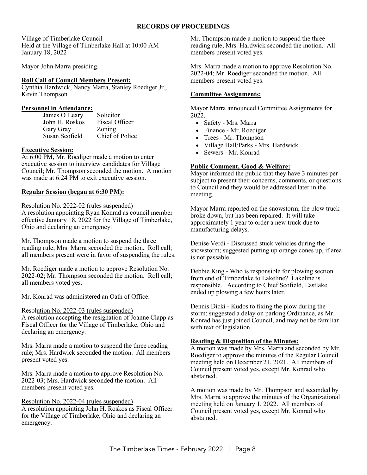#### **RECORDS OF PROCEEDINGS**

Village of Timberlake Council Held at the Village of Timberlake Hall at 10:00 AM January 18, 2022

Mayor John Marra presiding.

#### **Roll Call of Council Members Present:**

Cynthia Hardwick, Nancy Marra, Stanley Roediger Jr., Kevin Thompson

#### **Personnel in Attendance:**

James O'Leary Solicitor John H. Roskos Fiscal Officer Gary Gray Zoning Susan Scofield Chief of Police

#### **Executive Session:**

At 6:00 PM, Mr. Roediger made a motion to enter executive session to interview candidates for Village Council; Mr. Thompson seconded the motion. A motion was made at 6:24 PM to exit executive session.

#### **Regular Session (began at 6:30 PM):**

Resolution No. 2022-02 (rules suspended)

A resolution appointing Ryan Konrad as council member effective January 18, 2022 for the Village of Timberlake, Ohio and declaring an emergency.

Mr. Thompson made a motion to suspend the three reading rule; Mrs. Marra seconded the motion. Roll call; all members present were in favor of suspending the rules.

Mr. Roediger made a motion to approve Resolution No. 2022-02; Mr. Thompson seconded the motion. Roll call; all members voted yes.

Mr. Konrad was administered an Oath of Office.

Resolution No. 2022-03 (rules suspended) A resolution accepting the resignation of Joanne Clapp as Fiscal Officer for the Village of Timberlake, Ohio and

declaring an emergency.

Mrs. Marra made a motion to suspend the three reading rule; Mrs. Hardwick seconded the motion. All members present voted yes.

Mrs. Marra made a motion to approve Resolution No. 2022-03; Mrs. Hardwick seconded the motion. All members present voted yes.

#### Resolution No. 2022-04 (rules suspended)

A resolution appointing John H. Roskos as Fiscal Officer for the Village of Timberlake, Ohio and declaring an emergency.

Mr. Thompson made a motion to suspend the three reading rule; Mrs. Hardwick seconded the motion. All members present voted yes.

Mrs. Marra made a motion to approve Resolution No. 2022-04; Mr. Roediger seconded the motion. All members present voted yes.

#### **Committee Assignments:**

Mayor Marra announced Committee Assignments for 2022.

- Safety Mrs. Marra
- Finance Mr. Roediger
- Trees Mr. Thompson
- Village Hall/Parks Mrs. Hardwick
- Sewers Mr. Konrad

#### **Public Comment, Good & Welfare:**

Mayor informed the public that they have 3 minutes per subject to present their concerns, comments, or questions to Council and they would be addressed later in the meeting.

Mayor Marra reported on the snowstorm; the plow truck broke down, but has been repaired. It will take approximately 1 year to order a new truck due to manufacturing delays.

Denise Verdi - Discussed stuck vehicles during the snowstorm; suggested putting up orange cones up, if area is not passable.

Debbie King - Who is responsible for plowing section from end of Timberlake to Lakeline? Lakeline is responsible. According to Chief Scofield, Eastlake ended up plowing a few hours later.

Dennis Dicki - Kudos to fixing the plow during the storm; suggested a delay on parking Ordinance, as Mr. Konrad has just joined Council, and may not be familiar with text of legislation.

#### **Reading & Disposition of the Minutes:**

A motion was made by Mrs. Marra and seconded by Mr. Roediger to approve the minutes of the Regular Council meeting held on December 21, 2021. All members of Council present voted yes, except Mr. Konrad who abstained.

A motion was made by Mr. Thompson and seconded by Mrs. Marra to approve the minutes of the Organizational meeting held on January 1, 2022. All members of Council present voted yes, except Mr. Konrad who abstained.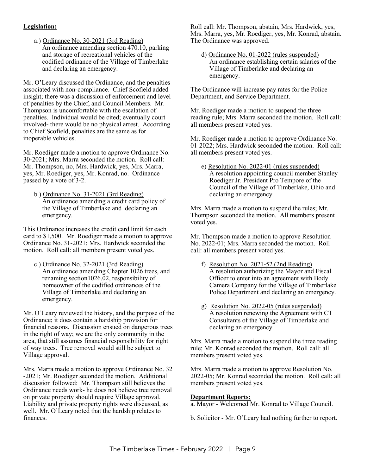#### **Legislation:**

a.) Ordinance No. 30-2021 (3rd Reading) An ordinance amending section 470.10, parking and storage of recreational vehicles of the codified ordinance of the Village of Timberlake and declaring an emergency.

Mr. O'Leary discussed the Ordinance, and the penalties associated with non-compliance. Chief Scofield added insight; there was a discussion of enforcement and level of penalties by the Chief, and Council Members. Mr. Thompson is uncomfortable with the escalation of penalties. Individual would be cited; eventually court involved- there would be no physical arrest. According to Chief Scofield, penalties are the same as for inoperable vehicles.

Mr. Roediger made a motion to approve Ordinance No. 30-2021; Mrs. Marra seconded the motion. Roll call: Mr. Thompson, no, Mrs. Hardwick, yes, Mrs. Marra, yes, Mr. Roediger, yes, Mr. Konrad, no. Ordinance passed by a vote of 3-2.

b.) Ordinance No. 31-2021 (3rd Reading) An ordinance amending a credit card policy of the Village of Timberlake and declaring an emergency.

This Ordinance increases the credit card limit for each card to \$1,500. Mr. Roediger made a motion to approve Ordinance No. 31-2021; Mrs. Hardwick seconded the motion. Roll call: all members present voted yes.

c.) Ordinance No. 32-2021 (3rd Reading) An ordinance amending Chapter 1026 trees, and renaming section1026.02, responsibility of homeowner of the codified ordinances of the Village of Timberlake and declaring an emergency.

Mr. O'Leary reviewed the history, and the purpose of the Ordinance; it does contain a hardship provision for financial reasons. Discussion ensued on dangerous trees in the right of way; we are the only community in the area, that still assumes financial responsibility for right of way trees. Tree removal would still be subject to Village approval.

Mrs. Marra made a motion to approve Ordinance No. 32 -2021; Mr. Roediger seconded the motion. Additional discussion followed: Mr. Thompson still believes the Ordinance needs work- he does not believe tree removal on private property should require Village approval. Liability and private property rights were discussed, as well. Mr. O'Leary noted that the hardship relates to finances.

Roll call: Mr. Thompson, abstain, Mrs. Hardwick, yes, Mrs. Marra, yes, Mr. Roediger, yes, Mr. Konrad, abstain. The Ordinance was approved.

d) Ordinance No. 01-2022 (rules suspended) An ordinance establishing certain salaries of the Village of Timberlake and declaring an emergency.

The Ordinance will increase pay rates for the Police Department, and Service Department.

Mr. Roediger made a motion to suspend the three reading rule; Mrs. Marra seconded the motion. Roll call: all members present voted yes.

Mr. Roediger made a motion to approve Ordinance No. 01-2022; Mrs. Hardwick seconded the motion. Roll call: all members present voted yes.

e) Resolution No. 2022-01 (rules suspended) A resolution appointing council member Stanley Roediger Jr. President Pro Tempore of the Council of the Village of Timberlake, Ohio and declaring an emergency.

Mrs. Marra made a motion to suspend the rules; Mr. Thompson seconded the motion. All members present voted yes.

Mr. Thompson made a motion to approve Resolution No. 2022-01; Mrs. Marra seconded the motion. Roll call: all members present voted yes.

- f) Resolution No. 2021-52 (2nd Reading) A resolution authorizing the Mayor and Fiscal Officer to enter into an agreement with Body Camera Company for the Village of Timberlake Police Department and declaring an emergency.
- g) Resolution No. 2022-05 (rules suspended) A resolution renewing the Agreement with CT Consultants of the Village of Timberlake and declaring an emergency.

Mrs. Marra made a motion to suspend the three reading rule; Mr. Konrad seconded the motion. Roll call: all members present voted yes.

Mrs. Marra made a motion to approve Resolution No. 2022-05; Mr. Konrad seconded the motion. Roll call: all members present voted yes.

#### **Department Reports:**

a. Mayor - Welcomed Mr. Konrad to Village Council.

b. Solicitor - Mr. O'Leary had nothing further to report.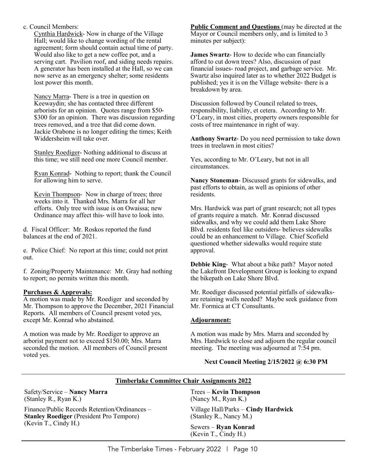c. Council Members:

Cynthia Hardwick- Now in charge of the Village Hall; would like to change wording of the rental agreement; form should contain actual time of party. Would also like to get a new coffee pot, and a serving cart. Pavilion roof, and siding needs repairs. A generator has been installed at the Hall, so we can now serve as an emergency shelter; some residents lost power this month.

Nancy Marra- There is a tree in question on Keewaydin; she has contacted three different arborists for an opinion. Quotes range from \$50- \$300 for an opinion. There was discussion regarding trees removed, and a tree that did come down. Jackie Orabone is no longer editing the times; Keith Widdersheim will take over.

Stanley Roediger- Nothing additional to discuss at this time; we still need one more Council member.

Ryan Konrad- Nothing to report; thank the Council for allowing him to serve.

Kevin Thompson- Now in charge of trees; three weeks into it. Thanked Mrs. Marra for all her efforts. Only tree with issue is on Owaissa; new Ordinance may affect this- will have to look into.

d. Fiscal Officer: Mr. Roskos reported the fund balances at the end of 2021.

e. Police Chief: No report at this time; could not print out.

f. Zoning/Property Maintenance: Mr. Gray had nothing to report; no permits written this month.

#### **Purchases & Approvals:**

A motion was made by Mr. Roediger and seconded by Mr. Thompson to approve the December, 2021 Financial Reports. All members of Council present voted yes, except Mr. Konrad who abstained.

A motion was made by Mr. Roediger to approve an arborist payment not to exceed \$150.00; Mrs. Marra seconded the motion. All members of Council present voted yes.

**Public Comment and Questions** (may be directed at the Mayor or Council members only, and is limited to 3 minutes per subject):

**James Swartz**- How to decide who can financially afford to cut down trees? Also, discussion of past financial issues- road project, and garbage service. Mr. Swartz also inquired later as to whether 2022 Budget is published; yes it is on the Village website- there is a breakdown by area.

Discussion followed by Council related to trees, responsibility, liability, et cetera. According to Mr. O'Leary, in most cities, property owners responsible for costs of tree maintenance in right of way.

**Anthony Swartz**- Do you need permission to take down trees in treelawn in most cities?

Yes, according to Mr. O'Leary, but not in all circumstances.

**Nancy Stoneman**- Discussed grants for sidewalks, and past efforts to obtain, as well as opinions of other residents.

Mrs. Hardwick was part of grant research; not all types of grants require a match. Mr. Konrad discussed sidewalks, and why we could add them Lake Shore Blvd. residents feel like outsiders- believes sidewalks could be an enhancement to Village. Chief Scofield questioned whether sidewalks would require state approval.

**Debbie King**- What about a bike path? Mayor noted the Lakefront Development Group is looking to expand the bikepath on Lake Shore Blvd.

Mr. Roediger discussed potential pitfalls of sidewalksare retaining walls needed? Maybe seek guidance from Mr. Formica at CT Consultants.

#### **Adjournment:**

A motion was made by Mrs. Marra and seconded by Mrs. Hardwick to close and adjourn the regular council meeting. The meeting was adjourned at 7:54 pm.

#### **Next Council Meeting 2/15/2022 @ 6:30 PM**

#### **Timberlake Committee Chair Assignments 2022**

Safety/Service – **Nancy Marra** (Stanley R., Ryan K.)

Finance/Public Records Retention/Ordinances – **Stanley Roediger** (President Pro Tempore) (Kevin T., Cindy H.)

Trees – **Kevin Thompson** (Nancy M., Ryan K.)

Village Hall/Parks – **Cindy Hardwick** (Stanley R., Nancy M.)

Sewers – **Ryan Konrad** (Kevin T., Cindy H.)